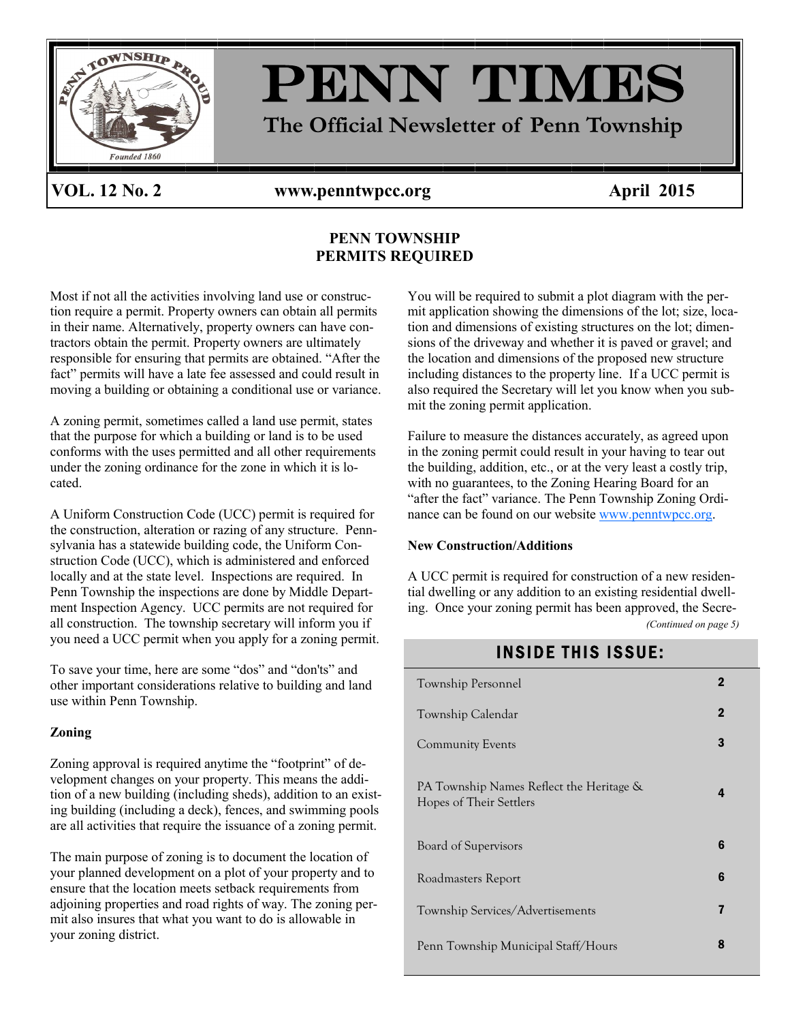

VOL. 12 No. 2 www.penntwpcc.org April 2015

### **PENN TOWNSHIP PERMITS REQUIRED**

Most if not all the activities involving land use or construction require a permit. Property owners can obtain all permits in their name. Alternatively, property owners can have contractors obtain the permit. Property owners are ultimately responsible for ensuring that permits are obtained. "After the fact" permits will have a late fee assessed and could result in moving a building or obtaining a conditional use or variance.

A zoning permit, sometimes called a land use permit, states that the purpose for which a building or land is to be used conforms with the uses permitted and all other requirements under the zoning ordinance for the zone in which it is located.

A Uniform Construction Code (UCC) permit is required for the construction, alteration or razing of any structure. Pennsylvania has a statewide building code, the Uniform Construction Code (UCC), which is administered and enforced locally and at the state level. Inspections are required. In Penn Township the inspections are done by Middle Department Inspection Agency. UCC permits are not required for all construction. The township secretary will inform you if you need a UCC permit when you apply for a zoning permit.

To save your time, here are some "dos" and "don'ts" and other important considerations relative to building and land use within Penn Township.

#### **Zoning**

Zoning approval is required anytime the "footprint" of development changes on your property. This means the addition of a new building (including sheds), addition to an existing building (including a deck), fences, and swimming pools are all activities that require the issuance of a zoning permit.

The main purpose of zoning is to document the location of your planned development on a plot of your property and to ensure that the location meets setback requirements from adjoining properties and road rights of way. The zoning permit also insures that what you want to do is allowable in your zoning district.

You will be required to submit a plot diagram with the permit application showing the dimensions of the lot; size, location and dimensions of existing structures on the lot; dimensions of the driveway and whether it is paved or gravel; and the location and dimensions of the proposed new structure including distances to the property line. If a UCC permit is also required the Secretary will let you know when you submit the zoning permit application.

Failure to measure the distances accurately, as agreed upon in the zoning permit could result in your having to tear out the building, addition, etc., or at the very least a costly trip, with no guarantees, to the Zoning Hearing Board for an "after the fact" variance. The Penn Township Zoning Ordinance can be found on our website [www.penntwpcc.org.](http://www.penntwpcc.org)

#### **New Construction/Additions**

A UCC permit is required for construction of a new residential dwelling or any addition to an existing residential dwelling. Once your zoning permit has been approved, the Secre- *(Continued on page 5)*

### **INSIDE THIS ISSUE:**

| Township Personnel                                                  | 2           |
|---------------------------------------------------------------------|-------------|
| Township Calendar                                                   | $\mathbf 2$ |
| <b>Community Events</b>                                             | 3           |
| PA Township Names Reflect the Heritage &<br>Hopes of Their Settlers | 4           |
| Board of Supervisors                                                | 6           |
| Roadmasters Report                                                  | 6           |
| Township Services/Advertisements                                    | 7           |
| Penn Township Municipal Staff/Hours                                 | 8           |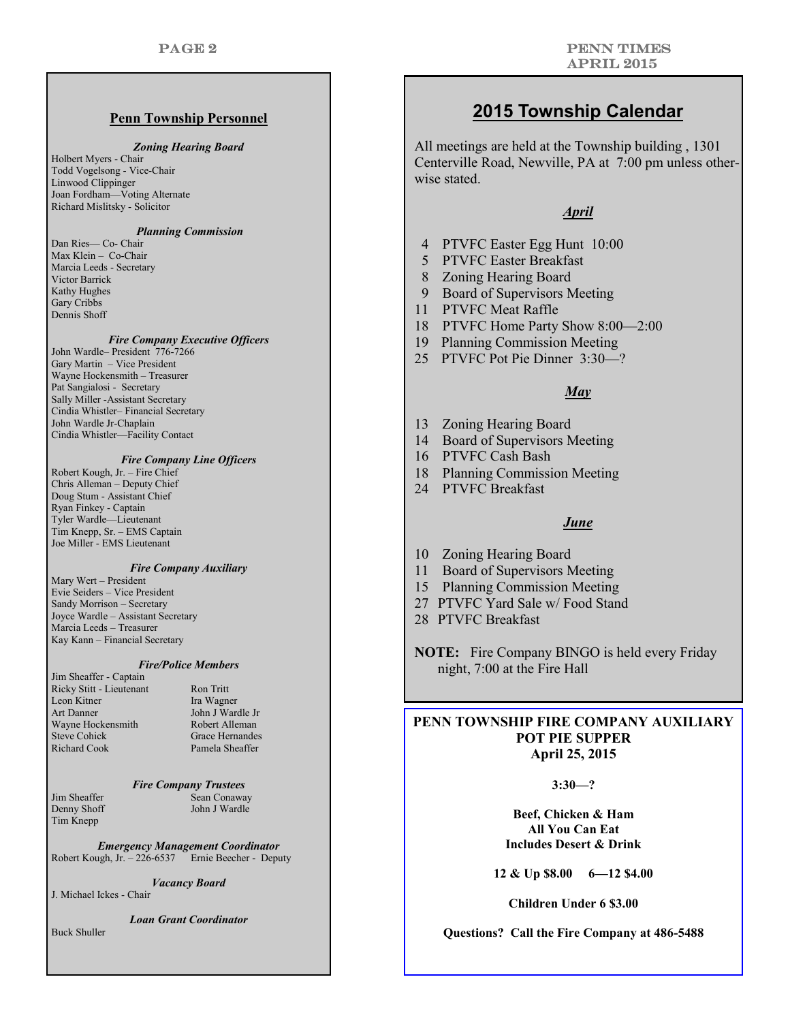#### **Penn Township Personnel**

#### *Zoning Hearing Board*

Holbert Myers - Chair Todd Vogelsong - Vice-Chair Linwood Clippinger Joan Fordham—Voting Alternate Richard Mislitsky - Solicitor

#### *Planning Commission*

Dan Ries— Co- Chair Max Klein – Co-Chair Marcia Leeds - Secretary Victor Barrick Kathy Hughes Gary Cribbs Dennis Shoff

#### *Fire Company Executive Officers*

John Wardle– President 776-7266 Gary Martin – Vice President Wayne Hockensmith – Treasurer Pat Sangialosi - Secretary Sally Miller -Assistant Secretary Cindia Whistler– Financial Secretary John Wardle Jr-Chaplain Cindia Whistler—Facility Contact

#### *Fire Company Line Officers*

Robert Kough, Jr. – Fire Chief Chris Alleman – Deputy Chief Doug Stum - Assistant Chief Ryan Finkey - Captain Tyler Wardle—Lieutenant Tim Knepp, Sr. – EMS Captain Joe Miller - EMS Lieutenant

#### *Fire Company Auxiliary*

Mary Wert – President Evie Seiders – Vice President Sandy Morrison – Secretary Joyce Wardle – Assistant Secretary Marcia Leeds – Treasurer Kay Kann – Financial Secretary

#### *Fire/Police Members*

Jim Sheaffer - Captain Ricky Stitt - Lieutenant Ron Tritt Leon Kitner Ira Wagner Art Danner John J Wardle Jr Wayne Hockensmith Robert Alleman<br>Steve Cohick Grace Hernandes Richard Cook Pamela Sheaffer

Grace Hernandes

#### *Fire Company Trustees*

Tim Knepp

Jim Sheaffer Sean Conaway<br>Denny Shoff John J Wardle John J Wardle

*Emergency Management Coordinator* Robert Kough, Jr. – 226-6537 Ernie Beecher - Deputy

*Vacancy Board*

J. Michael Ickes - Chair

*Loan Grant Coordinator*

Buck Shuller

### **2015 Township Calendar**

All meetings are held at the Township building , 1301 Centerville Road, Newville, PA at 7:00 pm unless otherwise stated.

#### *April*

- 4 PTVFC Easter Egg Hunt 10:00
- 5 PTVFC Easter Breakfast
- 8 Zoning Hearing Board
- 9 Board of Supervisors Meeting
- 11 PTVFC Meat Raffle
- 18 PTVFC Home Party Show 8:00—2:00
- 19 Planning Commission Meeting
- 25 PTVFC Pot Pie Dinner 3:30—?

#### *May*

- 13 Zoning Hearing Board
- 14 Board of Supervisors Meeting
- 16 PTVFC Cash Bash
- 18 Planning Commission Meeting
- 24 PTVFC Breakfast

#### *June*

- 10 Zoning Hearing Board
- 11 Board of Supervisors Meeting
- 15 Planning Commission Meeting
- 27 PTVFC Yard Sale w/ Food Stand
- 28 PTVFC Breakfast

**NOTE:** Fire Company BINGO is held every Friday night, 7:00 at the Fire Hall

#### **PENN TOWNSHIP FIRE COMPANY AUXILIARY POT PIE SUPPER April 25, 2015**

#### **3:30—?**

**Beef, Chicken & Ham All You Can Eat Includes Desert & Drink**

**12 & Up \$8.00 6—12 \$4.00**

**Children Under 6 \$3.00**

**Questions? Call the Fire Company at 486-5488**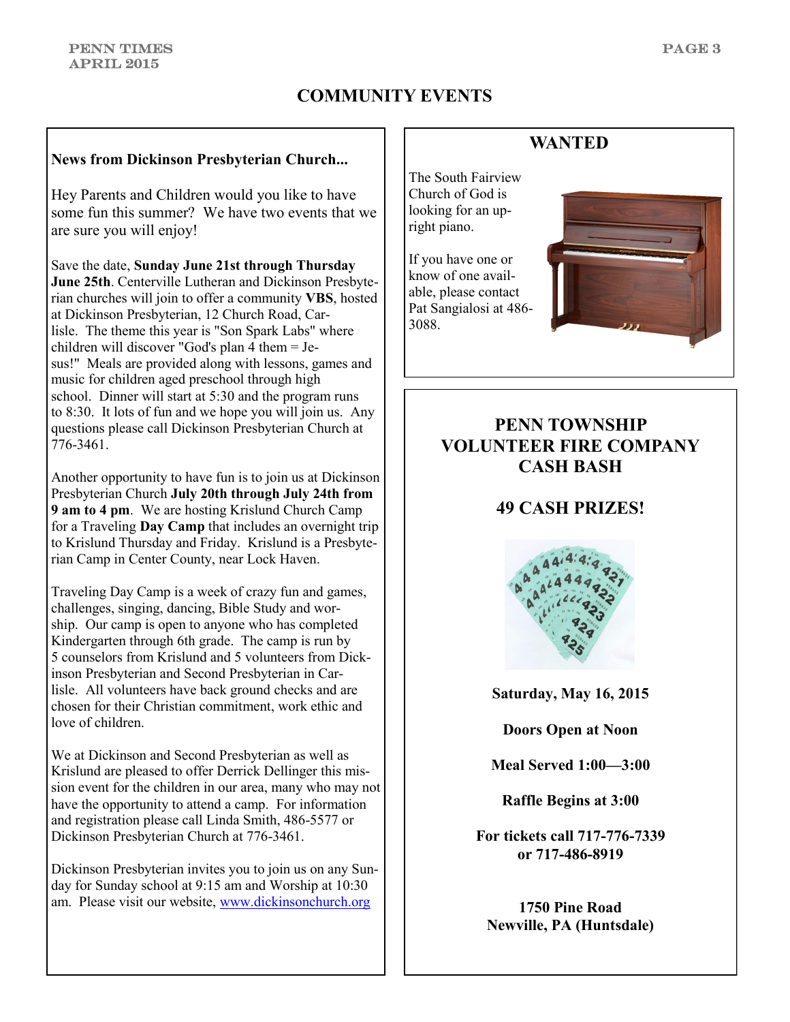### **COMMUNITY EVENTS**

#### **News from Dickinson Presbyterian Church...**

Hey Parents and Children would you like to have some fun this summer? We have two events that we are sure you will enjoy!

Save the date, **Sunday June 21st through Thursday June 25th**. Centerville Lutheran and Dickinson Presbyterian churches will join to offer a community **VBS**, hosted at Dickinson Presbyterian, 12 Church Road, Carlisle. The theme this year is "Son Spark Labs" where children will discover "God's plan 4 them = Jesus!" Meals are provided along with lessons, games and music for children aged preschool through high school. Dinner will start at 5:30 and the program runs to 8:30. It lots of fun and we hope you will join us. Any questions please call Dickinson Presbyterian Church at 776-3461.

Another opportunity to have fun is to join us at Dickinson Presbyterian Church **July 20th through July 24th from 9 am to 4 pm**. We are hosting Krislund Church Camp for a Traveling **Day Camp** that includes an overnight trip to Krislund Thursday and Friday. Krislund is a Presbyterian Camp in Center County, near Lock Haven.

Traveling Day Camp is a week of crazy fun and games, challenges, singing, dancing, Bible Study and worship. Our camp is open to anyone who has completed Kindergarten through 6th grade. The camp is run by 5 counselors from Krislund and 5 volunteers from Dickinson Presbyterian and Second Presbyterian in Carlisle. All volunteers have back ground checks and are chosen for their Christian commitment, work ethic and love of children.

We at Dickinson and Second Presbyterian as well as Krislund are pleased to offer Derrick Dellinger this mission event for the children in our area, many who may not have the opportunity to attend a camp. For information and registration please call Linda Smith, 486-5577 or Dickinson Presbyterian Church at 776-3461.

Dickinson Presbyterian invites you to join us on any Sunday for Sunday school at 9:15 am and Worship at 10:30 am. Please visit our website, [www.dickinsonchurch.org](http://www.dickinsonchurch.org)

### **WANTED**

The South Fairview Church of God is looking for an upright piano.

If you have one or know of one available, please contact Pat Sangialosi at 486- 3088.



### **PENN TOWNSHIP VOLUNTEER FIRE COMPANY CASH BASH**

### **49 CASH PRIZES!**



**Saturday, May 16, 2015**

**Doors Open at Noon**

**Meal Served 1:00—3:00**

**Raffle Begins at 3:00**

**For tickets call 717-776-7339 or 717-486-8919**

**1750 Pine Road Newville, PA (Huntsdale)**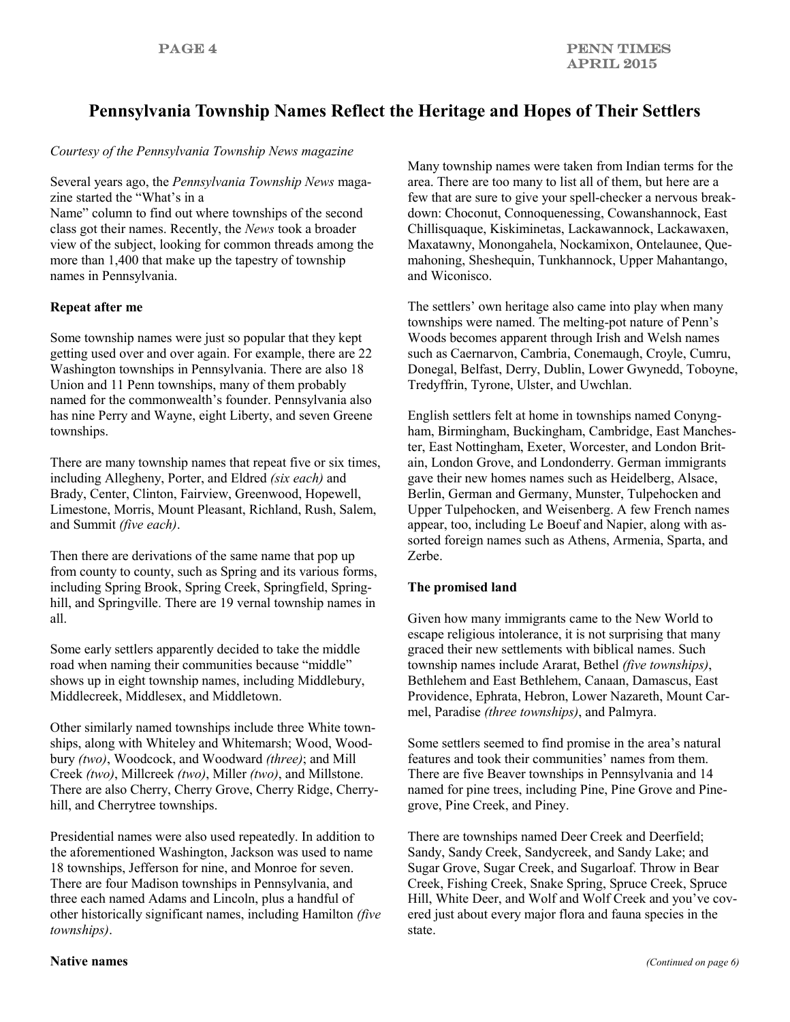### **Pennsylvania Township Names Reflect the Heritage and Hopes of Their Settlers**

#### *Courtesy of the Pennsylvania Township News magazine*

Several years ago, the *Pennsylvania Township News* magazine started the "What's in a

Name" column to find out where townships of the second class got their names. Recently, the *News* took a broader view of the subject, looking for common threads among the more than 1,400 that make up the tapestry of township names in Pennsylvania.

#### **Repeat after me**

Some township names were just so popular that they kept getting used over and over again. For example, there are 22 Washington townships in Pennsylvania. There are also 18 Union and 11 Penn townships, many of them probably named for the commonwealth's founder. Pennsylvania also has nine Perry and Wayne, eight Liberty, and seven Greene townships.

There are many township names that repeat five or six times, including Allegheny, Porter, and Eldred *(six each)* and Brady, Center, Clinton, Fairview, Greenwood, Hopewell, Limestone, Morris, Mount Pleasant, Richland, Rush, Salem, and Summit *(five each)*.

Then there are derivations of the same name that pop up from county to county, such as Spring and its various forms, including Spring Brook, Spring Creek, Springfield, Springhill, and Springville. There are 19 vernal township names in all.

Some early settlers apparently decided to take the middle road when naming their communities because "middle" shows up in eight township names, including Middlebury, Middlecreek, Middlesex, and Middletown.

Other similarly named townships include three White townships, along with Whiteley and Whitemarsh; Wood, Woodbury *(two)*, Woodcock, and Woodward *(three)*; and Mill Creek *(two)*, Millcreek *(two)*, Miller *(two)*, and Millstone. There are also Cherry, Cherry Grove, Cherry Ridge, Cherryhill, and Cherrytree townships.

Presidential names were also used repeatedly. In addition to the aforementioned Washington, Jackson was used to name 18 townships, Jefferson for nine, and Monroe for seven. There are four Madison townships in Pennsylvania, and three each named Adams and Lincoln, plus a handful of other historically significant names, including Hamilton *(five townships)*.

Many township names were taken from Indian terms for the area. There are too many to list all of them, but here are a few that are sure to give your spell-checker a nervous breakdown: Choconut, Connoquenessing, Cowanshannock, East Chillisquaque, Kiskiminetas, Lackawannock, Lackawaxen, Maxatawny, Monongahela, Nockamixon, Ontelaunee, Quemahoning, Sheshequin, Tunkhannock, Upper Mahantango, and Wiconisco.

The settlers' own heritage also came into play when many townships were named. The melting-pot nature of Penn's Woods becomes apparent through Irish and Welsh names such as Caernarvon, Cambria, Conemaugh, Croyle, Cumru, Donegal, Belfast, Derry, Dublin, Lower Gwynedd, Toboyne, Tredyffrin, Tyrone, Ulster, and Uwchlan.

English settlers felt at home in townships named Conyngham, Birmingham, Buckingham, Cambridge, East Manchester, East Nottingham, Exeter, Worcester, and London Britain, London Grove, and Londonderry. German immigrants gave their new homes names such as Heidelberg, Alsace, Berlin, German and Germany, Munster, Tulpehocken and Upper Tulpehocken, and Weisenberg. A few French names appear, too, including Le Boeuf and Napier, along with assorted foreign names such as Athens, Armenia, Sparta, and Zerbe.

#### **The promised land**

Given how many immigrants came to the New World to escape religious intolerance, it is not surprising that many graced their new settlements with biblical names. Such township names include Ararat, Bethel *(five townships)*, Bethlehem and East Bethlehem, Canaan, Damascus, East Providence, Ephrata, Hebron, Lower Nazareth, Mount Carmel, Paradise *(three townships)*, and Palmyra.

Some settlers seemed to find promise in the area's natural features and took their communities' names from them. There are five Beaver townships in Pennsylvania and 14 named for pine trees, including Pine, Pine Grove and Pinegrove, Pine Creek, and Piney.

There are townships named Deer Creek and Deerfield; Sandy, Sandy Creek, Sandycreek, and Sandy Lake; and Sugar Grove, Sugar Creek, and Sugarloaf. Throw in Bear Creek, Fishing Creek, Snake Spring, Spruce Creek, Spruce Hill, White Deer, and Wolf and Wolf Creek and you've covered just about every major flora and fauna species in the state.

#### **Native names**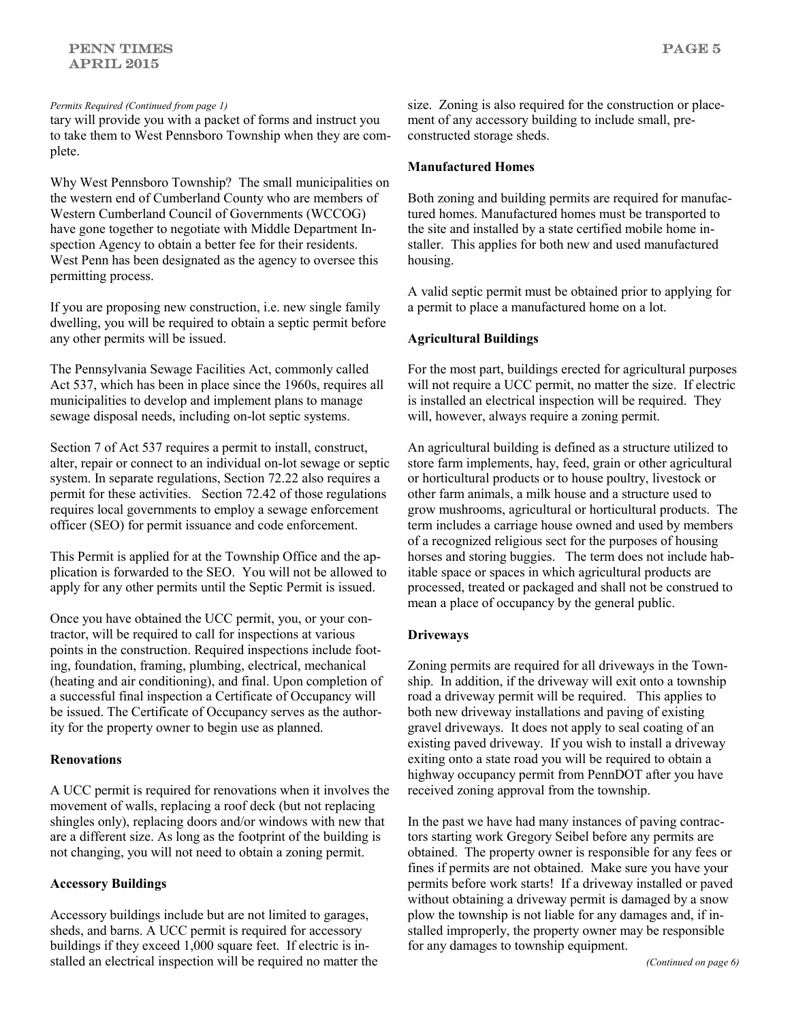tary will provide you with a packet of forms and instruct you to take them to West Pennsboro Township when they are complete.

Why West Pennsboro Township? The small municipalities on the western end of Cumberland County who are members of Western Cumberland Council of Governments (WCCOG) have gone together to negotiate with Middle Department Inspection Agency to obtain a better fee for their residents. West Penn has been designated as the agency to oversee this permitting process.

If you are proposing new construction, i.e. new single family dwelling, you will be required to obtain a septic permit before any other permits will be issued.

The Pennsylvania Sewage Facilities Act, commonly called Act 537, which has been in place since the 1960s, requires all municipalities to develop and implement plans to manage sewage disposal needs, including on-lot septic systems.

Section 7 of Act 537 requires a permit to install, construct, alter, repair or connect to an individual on-lot sewage or septic system. In separate regulations, Section 72.22 also requires a permit for these activities. Section 72.42 of those regulations requires local governments to employ a sewage enforcement officer (SEO) for permit issuance and code enforcement.

This Permit is applied for at the Township Office and the application is forwarded to the SEO. You will not be allowed to apply for any other permits until the Septic Permit is issued.

Once you have obtained the UCC permit, you, or your contractor, will be required to call for inspections at various points in the construction. Required inspections include footing, foundation, framing, plumbing, electrical, mechanical (heating and air conditioning), and final. Upon completion of a successful final inspection a Certificate of Occupancy will be issued. The Certificate of Occupancy serves as the authority for the property owner to begin use as planned.

#### **Renovations**

A UCC permit is required for renovations when it involves the movement of walls, replacing a roof deck (but not replacing shingles only), replacing doors and/or windows with new that are a different size. As long as the footprint of the building is not changing, you will not need to obtain a zoning permit.

#### **Accessory Buildings**

Accessory buildings include but are not limited to garages, sheds, and barns. A UCC permit is required for accessory buildings if they exceed 1,000 square feet. If electric is installed an electrical inspection will be required no matter the

*Permits Required (Continued from page 1)* size. Zoning is also required for the construction or placement of any accessory building to include small, preconstructed storage sheds.

#### **Manufactured Homes**

Both zoning and building permits are required for manufactured homes. Manufactured homes must be transported to the site and installed by a state certified mobile home installer. This applies for both new and used manufactured housing.

A valid septic permit must be obtained prior to applying for a permit to place a manufactured home on a lot.

#### **Agricultural Buildings**

For the most part, buildings erected for agricultural purposes will not require a UCC permit, no matter the size. If electric is installed an electrical inspection will be required. They will, however, always require a zoning permit.

An agricultural building is defined as a structure utilized to store farm implements, hay, feed, grain or other agricultural or horticultural products or to house poultry, livestock or other farm animals, a milk house and a structure used to grow mushrooms, agricultural or horticultural products. The term includes a carriage house owned and used by members of a recognized religious sect for the purposes of housing horses and storing buggies. The term does not include habitable space or spaces in which agricultural products are processed, treated or packaged and shall not be construed to mean a place of occupancy by the general public.

#### **Driveways**

Zoning permits are required for all driveways in the Township. In addition, if the driveway will exit onto a township road a driveway permit will be required. This applies to both new driveway installations and paving of existing gravel driveways. It does not apply to seal coating of an existing paved driveway. If you wish to install a driveway exiting onto a state road you will be required to obtain a highway occupancy permit from PennDOT after you have received zoning approval from the township.

In the past we have had many instances of paving contractors starting work Gregory Seibel before any permits are obtained. The property owner is responsible for any fees or fines if permits are not obtained. Make sure you have your permits before work starts! If a driveway installed or paved without obtaining a driveway permit is damaged by a snow plow the township is not liable for any damages and, if installed improperly, the property owner may be responsible for any damages to township equipment.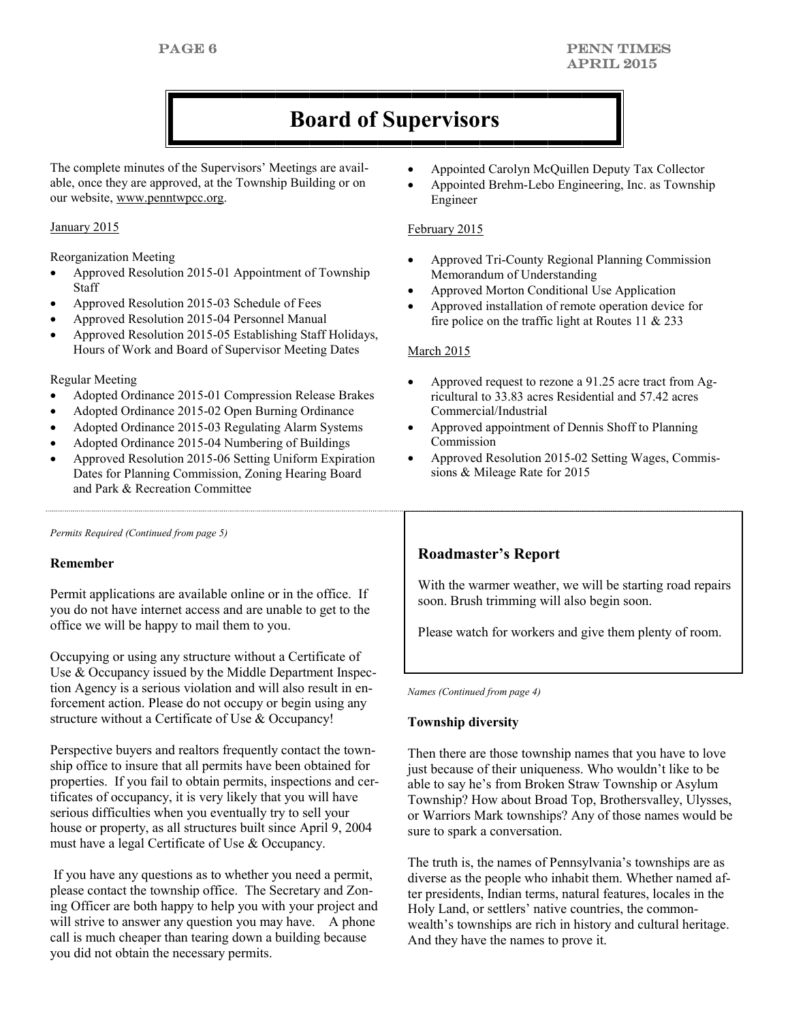## **Board of Supervisors**

The complete minutes of the Supervisors' Meetings are available, once they are approved, at the Township Building or on our website, www.penntwpcc.org.

#### January 2015

Reorganization Meeting

- Approved Resolution 2015-01 Appointment of Township Staff
- Approved Resolution 2015-03 Schedule of Fees
- Approved Resolution 2015-04 Personnel Manual
- Approved Resolution 2015-05 Establishing Staff Holidays, Hours of Work and Board of Supervisor Meeting Dates

#### Regular Meeting

- Adopted Ordinance 2015-01 Compression Release Brakes
- Adopted Ordinance 2015-02 Open Burning Ordinance
- Adopted Ordinance 2015-03 Regulating Alarm Systems
- Adopted Ordinance 2015-04 Numbering of Buildings
- Approved Resolution 2015-06 Setting Uniform Expiration Dates for Planning Commission, Zoning Hearing Board and Park & Recreation Committee

*Permits Required (Continued from page 5)*

#### **Remember**

Permit applications are available online or in the office. If you do not have internet access and are unable to get to the office we will be happy to mail them to you.

Occupying or using any structure without a Certificate of Use & Occupancy issued by the Middle Department Inspection Agency is a serious violation and will also result in enforcement action. Please do not occupy or begin using any structure without a Certificate of Use & Occupancy!

Perspective buyers and realtors frequently contact the township office to insure that all permits have been obtained for properties. If you fail to obtain permits, inspections and certificates of occupancy, it is very likely that you will have serious difficulties when you eventually try to sell your house or property, as all structures built since April 9, 2004 must have a legal Certificate of Use & Occupancy.

If you have any questions as to whether you need a permit, please contact the township office. The Secretary and Zoning Officer are both happy to help you with your project and will strive to answer any question you may have. A phone call is much cheaper than tearing down a building because you did not obtain the necessary permits.

- Appointed Carolyn McQuillen Deputy Tax Collector
- Appointed Brehm-Lebo Engineering, Inc. as Township Engineer

#### February 2015

- Approved Tri-County Regional Planning Commission Memorandum of Understanding
- Approved Morton Conditional Use Application
- Approved installation of remote operation device for fire police on the traffic light at Routes 11  $& 233$

#### March 2015

- Approved request to rezone a 91.25 acre tract from Agricultural to 33.83 acres Residential and 57.42 acres Commercial/Industrial
- Approved appointment of Dennis Shoff to Planning Commission
- Approved Resolution 2015-02 Setting Wages, Commissions & Mileage Rate for 2015

#### **Roadmaster's Report**

With the warmer weather, we will be starting road repairs soon. Brush trimming will also begin soon.

Please watch for workers and give them plenty of room.

*Names (Continued from page 4)*

#### **Township diversity**

Then there are those township names that you have to love just because of their uniqueness. Who wouldn't like to be able to say he's from Broken Straw Township or Asylum Township? How about Broad Top, Brothersvalley, Ulysses, or Warriors Mark townships? Any of those names would be sure to spark a conversation.

The truth is, the names of Pennsylvania's townships are as diverse as the people who inhabit them. Whether named after presidents, Indian terms, natural features, locales in the Holy Land, or settlers' native countries, the commonwealth's townships are rich in history and cultural heritage. And they have the names to prove it.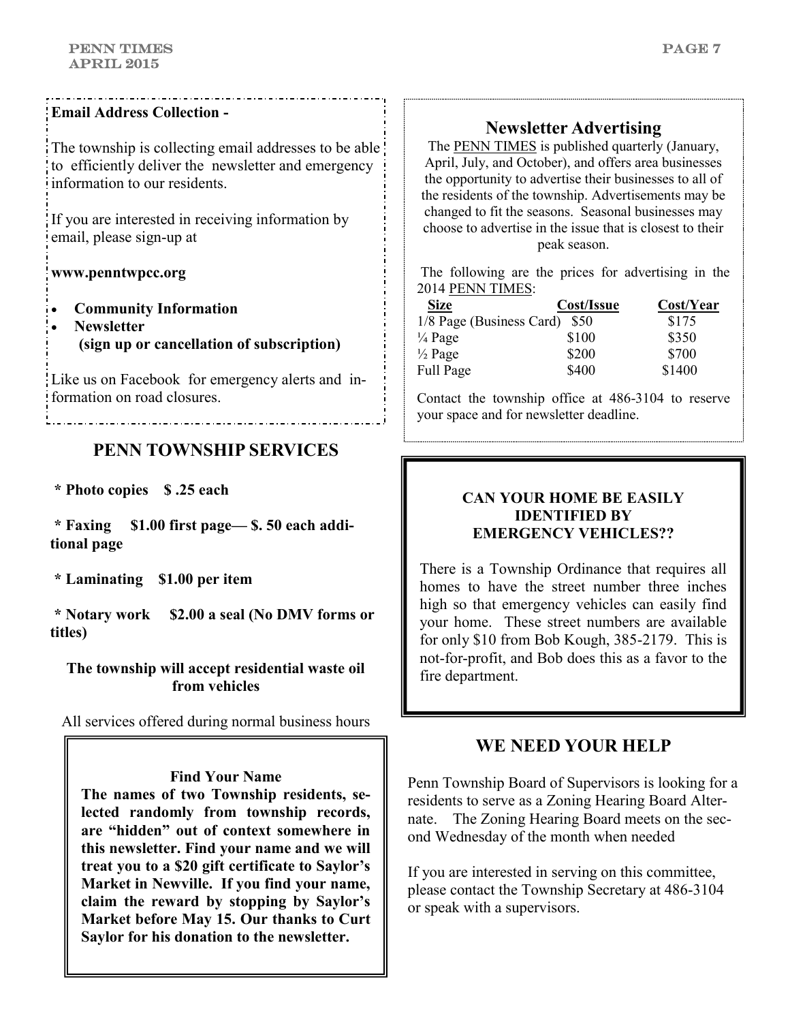PAGE 7

### **Email Address Collection -**

The township is collecting email addresses to be able to efficiently deliver the newsletter and emergency information to our residents.

If you are interested in receiving information by email, please sign-up at

### **www.penntwpcc.org**

- **Community Information**
- **Newsletter (sign up or cancellation of subscription)**

Like us on Facebook for emergency alerts and information on road closures.

### **PENN TOWNSHIP SERVICES**

**\* Photo copies \$ .25 each**

**\* Faxing \$1.00 first page— \$. 50 each additional page**

**\* Laminating \$1.00 per item**

**\* Notary work \$2.00 a seal (No DMV forms or titles)**

### **The township will accept residential waste oil from vehicles**

All services offered during normal business hours

**Find Your Name** 

**The names of two Township residents, selected randomly from township records, are "hidden" out of context somewhere in this newsletter. Find your name and we will treat you to a \$20 gift certificate to Saylor's Market in Newville. If you find your name, claim the reward by stopping by Saylor's Market before May 15. Our thanks to Curt Saylor for his donation to the newsletter.**

### **Newsletter Advertising**

The PENN TIMES is published quarterly (January, April, July, and October), and offers area businesses the opportunity to advertise their businesses to all of the residents of the township. Advertisements may be changed to fit the seasons. Seasonal businesses may choose to advertise in the issue that is closest to their peak season.

The following are the prices for advertising in the 2014 PENN TIMES:

| <b>Size</b>                   | Cost/Issue | Cost/Year |
|-------------------------------|------------|-----------|
| 1/8 Page (Business Card) \$50 |            | \$175     |
| $\frac{1}{4}$ Page            | \$100      | \$350     |
| $\frac{1}{2}$ Page            | \$200      | \$700     |
| Full Page                     | \$400      | \$1400    |

Contact the township office at 486-3104 to reserve your space and for newsletter deadline.

### **CAN YOUR HOME BE EASILY IDENTIFIED BY EMERGENCY VEHICLES??**

There is a Township Ordinance that requires all homes to have the street number three inches high so that emergency vehicles can easily find your home. These street numbers are available for only \$10 from Bob Kough, 385-2179. This is not-for-profit, and Bob does this as a favor to the fire department.

### **WE NEED YOUR HELP**

Penn Township Board of Supervisors is looking for a residents to serve as a Zoning Hearing Board Alternate. The Zoning Hearing Board meets on the second Wednesday of the month when needed

If you are interested in serving on this committee, please contact the Township Secretary at 486-3104 or speak with a supervisors.